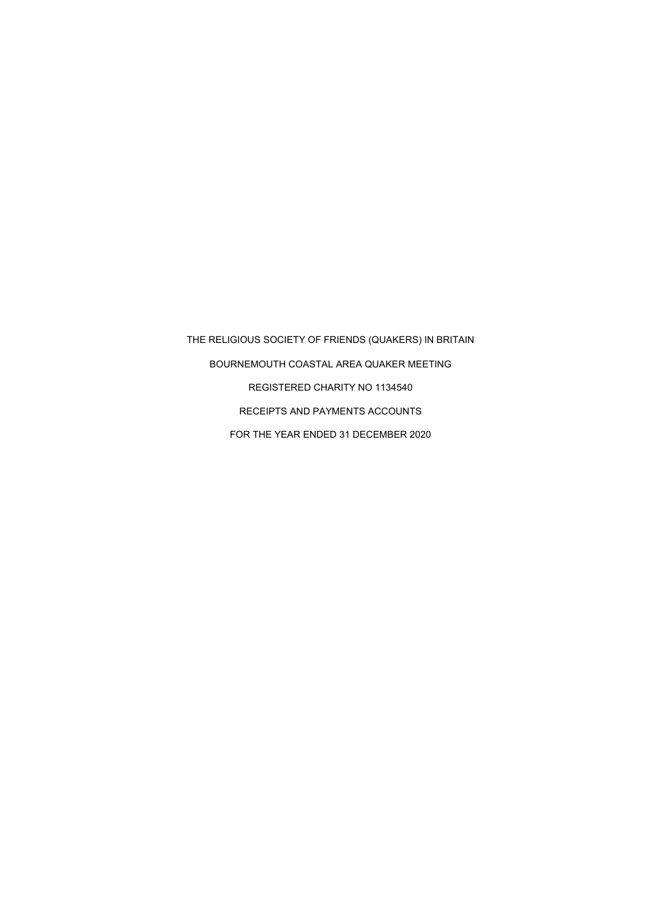THE RELIGIOUS SOCIETY OF FRIENDS (QUAKERS) IN BRITAIN BOURNEMOUTH COASTAL AREA QUAKER MEETING REGISTERED CHARITY NO 1134540 RECEIPTS AND PAYMENTS ACCOUNTS FOR THE YEAR ENDED 31 DECEMBER 2020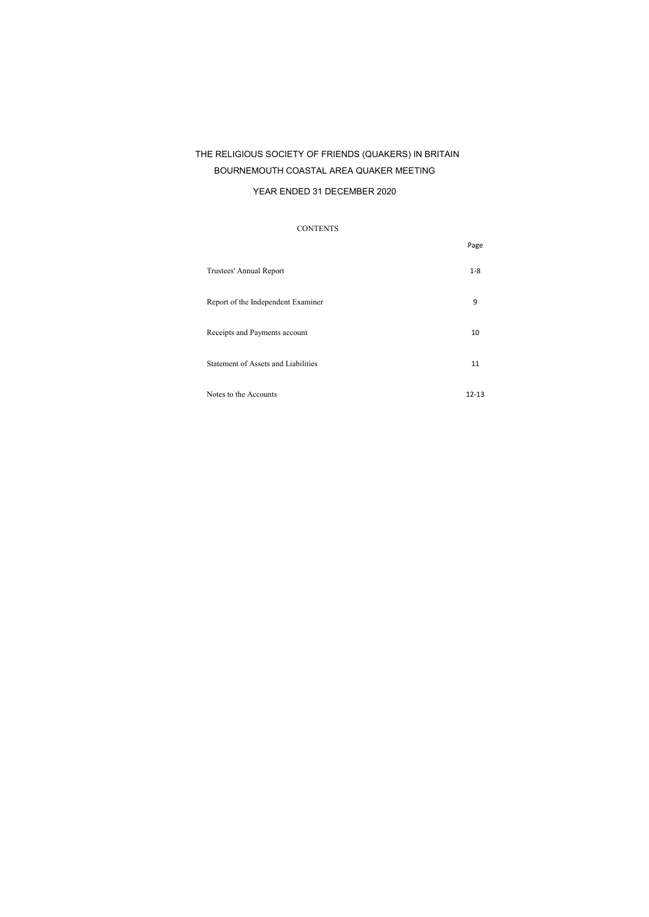## THE RELIGIOUS SOCIETY OF FRIENDS (QUAKERS) IN BRITAIN BOURNEMOUTH COASTAL AREA QUAKER MEETING

#### YEAR ENDED 31 DECEMBER 2020

#### CONTENTS

|                                     | Page    |
|-------------------------------------|---------|
| Trustees' Annual Report             | $1 - 8$ |
| Report of the Independent Examiner  | 9       |
| Receipts and Payments account       | 10      |
| Statement of Assets and Liabilities | 11      |
| Notes to the Accounts               | 12-13   |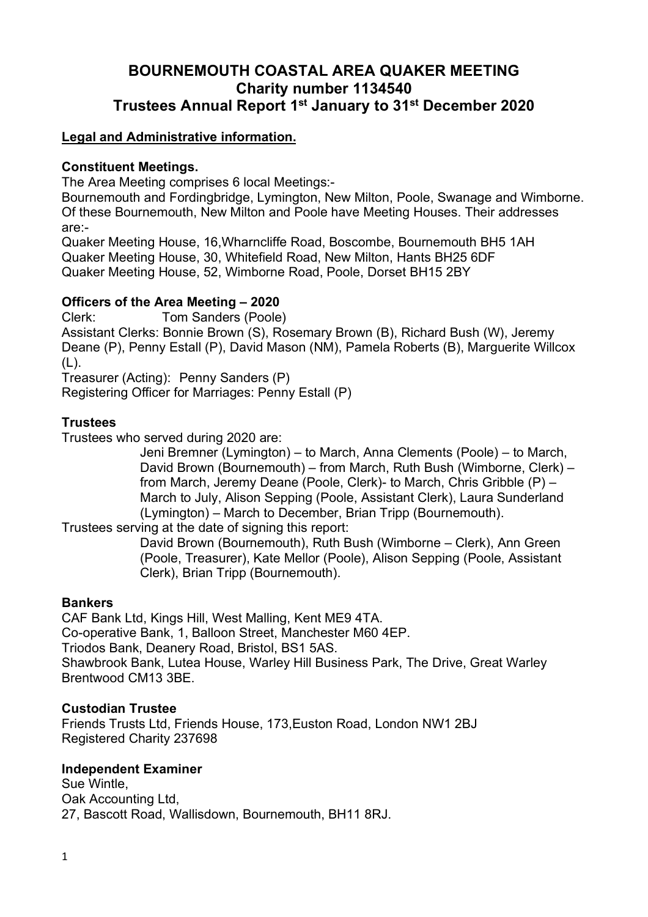# **BOURNEMOUTH COASTAL AREA QUAKER MEETING Charity number 1134540 Trustees Annual Report 1st January to 31st December 2020**

## **Legal and Administrative information.**

#### **Constituent Meetings.**

The Area Meeting comprises 6 local Meetings:-

Bournemouth and Fordingbridge, Lymington, New Milton, Poole, Swanage and Wimborne. Of these Bournemouth, New Milton and Poole have Meeting Houses. Their addresses are:-

Quaker Meeting House, 16,Wharncliffe Road, Boscombe, Bournemouth BH5 1AH Quaker Meeting House, 30, Whitefield Road, New Milton, Hants BH25 6DF Quaker Meeting House, 52, Wimborne Road, Poole, Dorset BH15 2BY

#### **Officers of the Area Meeting – 2020**

Clerk: Tom Sanders (Poole)

Assistant Clerks: Bonnie Brown (S), Rosemary Brown (B), Richard Bush (W), Jeremy Deane (P), Penny Estall (P), David Mason (NM), Pamela Roberts (B), Marguerite Willcox (L).

Treasurer (Acting): Penny Sanders (P)

Registering Officer for Marriages: Penny Estall (P)

## **Trustees**

Trustees who served during 2020 are:

Jeni Bremner (Lymington) – to March, Anna Clements (Poole) – to March, David Brown (Bournemouth) – from March, Ruth Bush (Wimborne, Clerk) – from March, Jeremy Deane (Poole, Clerk)- to March, Chris Gribble (P) – March to July, Alison Sepping (Poole, Assistant Clerk), Laura Sunderland (Lymington) – March to December, Brian Tripp (Bournemouth).

Trustees serving at the date of signing this report:

David Brown (Bournemouth), Ruth Bush (Wimborne – Clerk), Ann Green (Poole, Treasurer), Kate Mellor (Poole), Alison Sepping (Poole, Assistant Clerk), Brian Tripp (Bournemouth).

#### **Bankers**

CAF Bank Ltd, Kings Hill, West Malling, Kent ME9 4TA. Co-operative Bank, 1, Balloon Street, Manchester M60 4EP. Triodos Bank, Deanery Road, Bristol, BS1 5AS. Shawbrook Bank, Lutea House, Warley Hill Business Park, The Drive, Great Warley Brentwood CM13 3BE.

#### **Custodian Trustee**

Friends Trusts Ltd, Friends House, 173,Euston Road, London NW1 2BJ Registered Charity 237698

#### **Independent Examiner**

Sue Wintle, Oak Accounting Ltd, 27, Bascott Road, Wallisdown, Bournemouth, BH11 8RJ.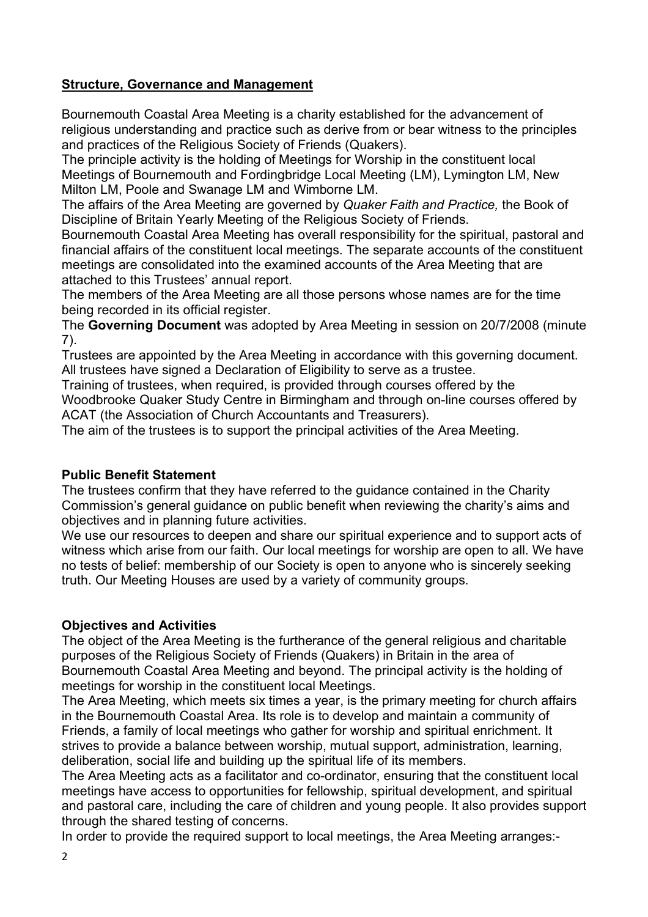## **Structure, Governance and Management**

Bournemouth Coastal Area Meeting is a charity established for the advancement of religious understanding and practice such as derive from or bear witness to the principles and practices of the Religious Society of Friends (Quakers).

The principle activity is the holding of Meetings for Worship in the constituent local Meetings of Bournemouth and Fordingbridge Local Meeting (LM), Lymington LM, New Milton LM, Poole and Swanage LM and Wimborne LM.

The affairs of the Area Meeting are governed by *Quaker Faith and Practice,* the Book of Discipline of Britain Yearly Meeting of the Religious Society of Friends.

Bournemouth Coastal Area Meeting has overall responsibility for the spiritual, pastoral and financial affairs of the constituent local meetings. The separate accounts of the constituent meetings are consolidated into the examined accounts of the Area Meeting that are attached to this Trustees' annual report.

The members of the Area Meeting are all those persons whose names are for the time being recorded in its official register.

The **Governing Document** was adopted by Area Meeting in session on 20/7/2008 (minute 7).

Trustees are appointed by the Area Meeting in accordance with this governing document. All trustees have signed a Declaration of Eligibility to serve as a trustee.

Training of trustees, when required, is provided through courses offered by the Woodbrooke Quaker Study Centre in Birmingham and through on-line courses offered by ACAT (the Association of Church Accountants and Treasurers).

The aim of the trustees is to support the principal activities of the Area Meeting.

## **Public Benefit Statement**

The trustees confirm that they have referred to the guidance contained in the Charity Commission's general guidance on public benefit when reviewing the charity's aims and objectives and in planning future activities.

We use our resources to deepen and share our spiritual experience and to support acts of witness which arise from our faith. Our local meetings for worship are open to all. We have no tests of belief: membership of our Society is open to anyone who is sincerely seeking truth. Our Meeting Houses are used by a variety of community groups.

## **Objectives and Activities**

The object of the Area Meeting is the furtherance of the general religious and charitable purposes of the Religious Society of Friends (Quakers) in Britain in the area of Bournemouth Coastal Area Meeting and beyond. The principal activity is the holding of meetings for worship in the constituent local Meetings.

The Area Meeting, which meets six times a year, is the primary meeting for church affairs in the Bournemouth Coastal Area. Its role is to develop and maintain a community of Friends, a family of local meetings who gather for worship and spiritual enrichment. It strives to provide a balance between worship, mutual support, administration, learning, deliberation, social life and building up the spiritual life of its members.

The Area Meeting acts as a facilitator and co-ordinator, ensuring that the constituent local meetings have access to opportunities for fellowship, spiritual development, and spiritual and pastoral care, including the care of children and young people. It also provides support through the shared testing of concerns.

In order to provide the required support to local meetings, the Area Meeting arranges:-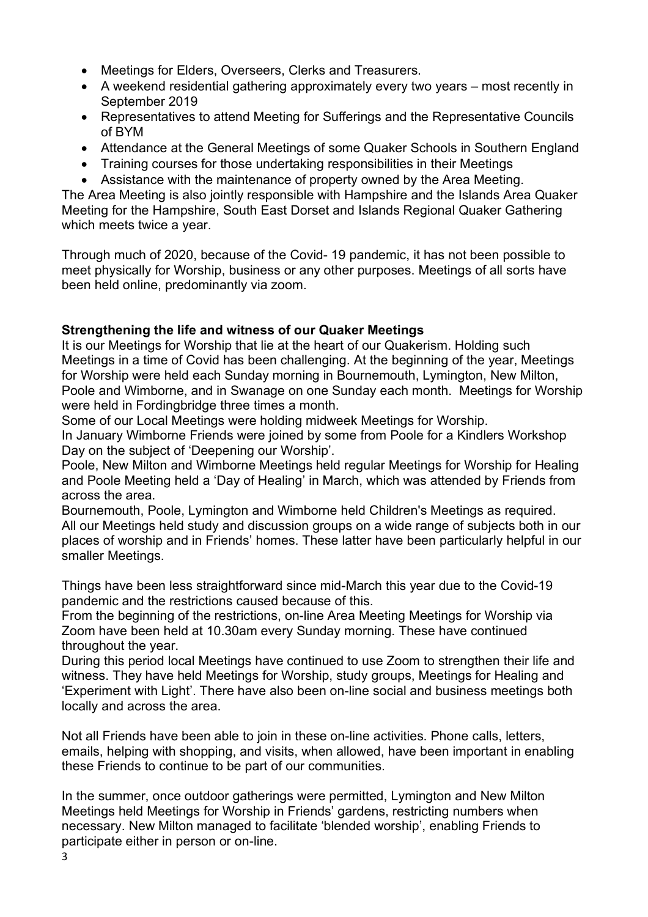- Meetings for Elders, Overseers, Clerks and Treasurers.
- A weekend residential gathering approximately every two years most recently in September 2019
- Representatives to attend Meeting for Sufferings and the Representative Councils of BYM
- Attendance at the General Meetings of some Quaker Schools in Southern England
- Training courses for those undertaking responsibilities in their Meetings
- Assistance with the maintenance of property owned by the Area Meeting.

The Area Meeting is also jointly responsible with Hampshire and the Islands Area Quaker Meeting for the Hampshire, South East Dorset and Islands Regional Quaker Gathering which meets twice a year.

Through much of 2020, because of the Covid- 19 pandemic, it has not been possible to meet physically for Worship, business or any other purposes. Meetings of all sorts have been held online, predominantly via zoom.

## **Strengthening the life and witness of our Quaker Meetings**

It is our Meetings for Worship that lie at the heart of our Quakerism. Holding such Meetings in a time of Covid has been challenging. At the beginning of the year, Meetings for Worship were held each Sunday morning in Bournemouth, Lymington, New Milton, Poole and Wimborne, and in Swanage on one Sunday each month. Meetings for Worship were held in Fordingbridge three times a month.

Some of our Local Meetings were holding midweek Meetings for Worship.

In January Wimborne Friends were joined by some from Poole for a Kindlers Workshop Day on the subject of 'Deepening our Worship'.

Poole, New Milton and Wimborne Meetings held regular Meetings for Worship for Healing and Poole Meeting held a 'Day of Healing' in March, which was attended by Friends from across the area.

Bournemouth, Poole, Lymington and Wimborne held Children's Meetings as required. All our Meetings held study and discussion groups on a wide range of subjects both in our places of worship and in Friends' homes. These latter have been particularly helpful in our smaller Meetings.

Things have been less straightforward since mid-March this year due to the Covid-19 pandemic and the restrictions caused because of this.

From the beginning of the restrictions, on-line Area Meeting Meetings for Worship via Zoom have been held at 10.30am every Sunday morning. These have continued throughout the year.

During this period local Meetings have continued to use Zoom to strengthen their life and witness. They have held Meetings for Worship, study groups, Meetings for Healing and 'Experiment with Light'. There have also been on-line social and business meetings both locally and across the area.

Not all Friends have been able to join in these on-line activities. Phone calls, letters, emails, helping with shopping, and visits, when allowed, have been important in enabling these Friends to continue to be part of our communities.

In the summer, once outdoor gatherings were permitted, Lymington and New Milton Meetings held Meetings for Worship in Friends' gardens, restricting numbers when necessary. New Milton managed to facilitate 'blended worship', enabling Friends to participate either in person or on-line.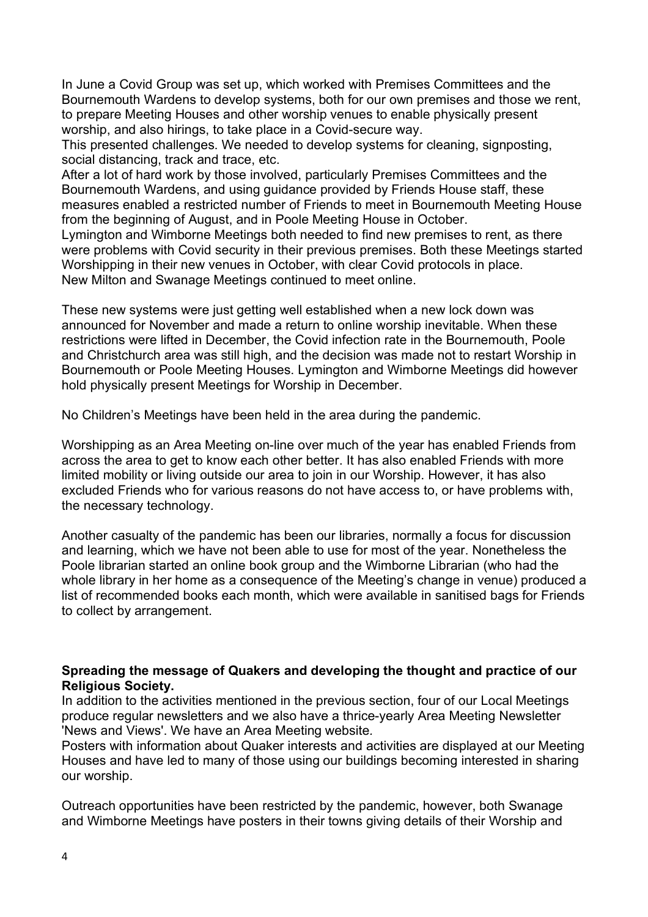In June a Covid Group was set up, which worked with Premises Committees and the Bournemouth Wardens to develop systems, both for our own premises and those we rent, to prepare Meeting Houses and other worship venues to enable physically present worship, and also hirings, to take place in a Covid-secure way.

This presented challenges. We needed to develop systems for cleaning, signposting, social distancing, track and trace, etc.

After a lot of hard work by those involved, particularly Premises Committees and the Bournemouth Wardens, and using guidance provided by Friends House staff, these measures enabled a restricted number of Friends to meet in Bournemouth Meeting House from the beginning of August, and in Poole Meeting House in October.

Lymington and Wimborne Meetings both needed to find new premises to rent, as there were problems with Covid security in their previous premises. Both these Meetings started Worshipping in their new venues in October, with clear Covid protocols in place. New Milton and Swanage Meetings continued to meet online.

These new systems were just getting well established when a new lock down was announced for November and made a return to online worship inevitable. When these restrictions were lifted in December, the Covid infection rate in the Bournemouth, Poole and Christchurch area was still high, and the decision was made not to restart Worship in Bournemouth or Poole Meeting Houses. Lymington and Wimborne Meetings did however hold physically present Meetings for Worship in December.

No Children's Meetings have been held in the area during the pandemic.

Worshipping as an Area Meeting on-line over much of the year has enabled Friends from across the area to get to know each other better. It has also enabled Friends with more limited mobility or living outside our area to join in our Worship. However, it has also excluded Friends who for various reasons do not have access to, or have problems with, the necessary technology.

Another casualty of the pandemic has been our libraries, normally a focus for discussion and learning, which we have not been able to use for most of the year. Nonetheless the Poole librarian started an online book group and the Wimborne Librarian (who had the whole library in her home as a consequence of the Meeting's change in venue) produced a list of recommended books each month, which were available in sanitised bags for Friends to collect by arrangement.

#### **Spreading the message of Quakers and developing the thought and practice of our Religious Society.**

In addition to the activities mentioned in the previous section, four of our Local Meetings produce regular newsletters and we also have a thrice-yearly Area Meeting Newsletter 'News and Views'. We have an Area Meeting website*.* 

Posters with information about Quaker interests and activities are displayed at our Meeting Houses and have led to many of those using our buildings becoming interested in sharing our worship.

Outreach opportunities have been restricted by the pandemic, however, both Swanage and Wimborne Meetings have posters in their towns giving details of their Worship and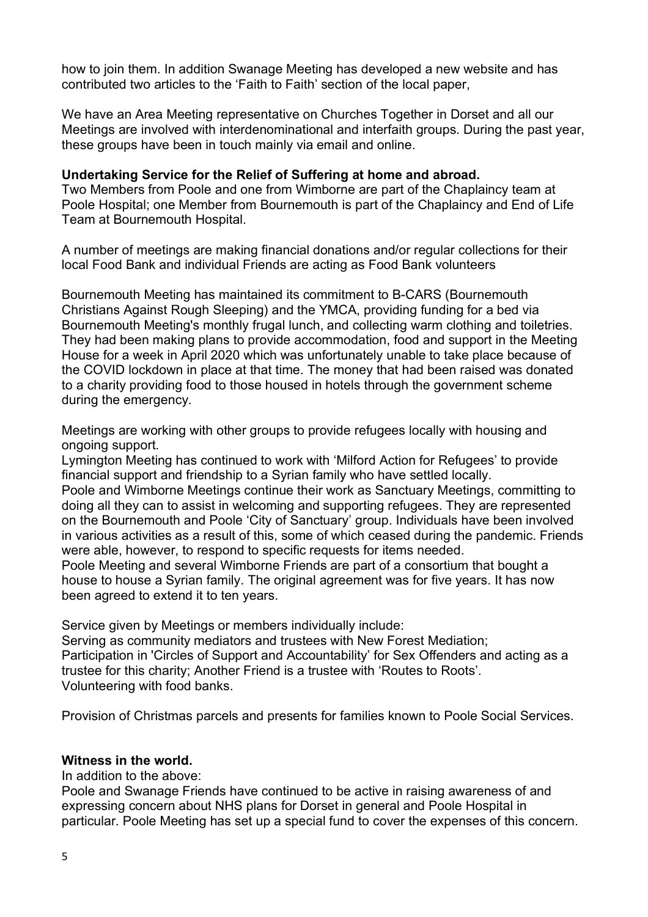how to join them. In addition Swanage Meeting has developed a new website and has contributed two articles to the 'Faith to Faith' section of the local paper,

We have an Area Meeting representative on Churches Together in Dorset and all our Meetings are involved with interdenominational and interfaith groups. During the past year, these groups have been in touch mainly via email and online.

#### **Undertaking Service for the Relief of Suffering at home and abroad.**

Two Members from Poole and one from Wimborne are part of the Chaplaincy team at Poole Hospital; one Member from Bournemouth is part of the Chaplaincy and End of Life Team at Bournemouth Hospital.

A number of meetings are making financial donations and/or regular collections for their local Food Bank and individual Friends are acting as Food Bank volunteers

Bournemouth Meeting has maintained its commitment to B-CARS (Bournemouth Christians Against Rough Sleeping) and the YMCA, providing funding for a bed via Bournemouth Meeting's monthly frugal lunch, and collecting warm clothing and toiletries. They had been making plans to provide accommodation, food and support in the Meeting House for a week in April 2020 which was unfortunately unable to take place because of the COVID lockdown in place at that time. The money that had been raised was donated to a charity providing food to those housed in hotels through the government scheme during the emergency.

Meetings are working with other groups to provide refugees locally with housing and ongoing support.

Lymington Meeting has continued to work with 'Milford Action for Refugees' to provide financial support and friendship to a Syrian family who have settled locally.

Poole and Wimborne Meetings continue their work as Sanctuary Meetings, committing to doing all they can to assist in welcoming and supporting refugees. They are represented on the Bournemouth and Poole 'City of Sanctuary' group. Individuals have been involved in various activities as a result of this, some of which ceased during the pandemic. Friends were able, however, to respond to specific requests for items needed.

Poole Meeting and several Wimborne Friends are part of a consortium that bought a house to house a Syrian family. The original agreement was for five years. It has now been agreed to extend it to ten years.

Service given by Meetings or members individually include:

Serving as community mediators and trustees with New Forest Mediation; Participation in 'Circles of Support and Accountability' for Sex Offenders and acting as a trustee for this charity; Another Friend is a trustee with 'Routes to Roots'. Volunteering with food banks.

Provision of Christmas parcels and presents for families known to Poole Social Services.

#### **Witness in the world.**

In addition to the above:

Poole and Swanage Friends have continued to be active in raising awareness of and expressing concern about NHS plans for Dorset in general and Poole Hospital in particular. Poole Meeting has set up a special fund to cover the expenses of this concern.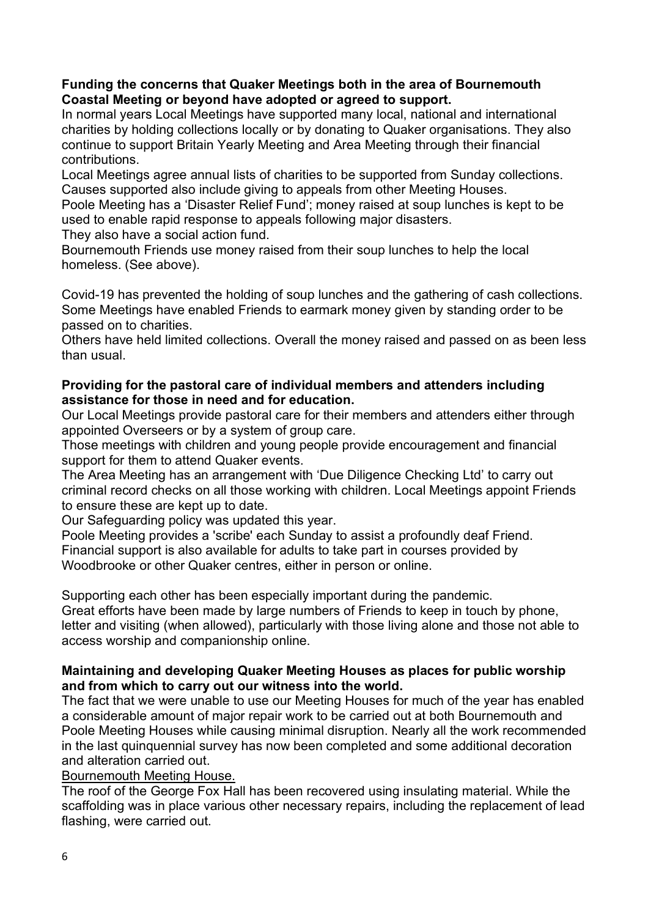#### **Funding the concerns that Quaker Meetings both in the area of Bournemouth Coastal Meeting or beyond have adopted or agreed to support.**

In normal years Local Meetings have supported many local, national and international charities by holding collections locally or by donating to Quaker organisations. They also continue to support Britain Yearly Meeting and Area Meeting through their financial contributions.

Local Meetings agree annual lists of charities to be supported from Sunday collections. Causes supported also include giving to appeals from other Meeting Houses.

Poole Meeting has a 'Disaster Relief Fund'; money raised at soup lunches is kept to be used to enable rapid response to appeals following major disasters.

They also have a social action fund.

Bournemouth Friends use money raised from their soup lunches to help the local homeless. (See above).

Covid-19 has prevented the holding of soup lunches and the gathering of cash collections. Some Meetings have enabled Friends to earmark money given by standing order to be passed on to charities.

Others have held limited collections. Overall the money raised and passed on as been less than usual.

## **Providing for the pastoral care of individual members and attenders including assistance for those in need and for education.**

Our Local Meetings provide pastoral care for their members and attenders either through appointed Overseers or by a system of group care.

Those meetings with children and young people provide encouragement and financial support for them to attend Quaker events.

The Area Meeting has an arrangement with 'Due Diligence Checking Ltd' to carry out criminal record checks on all those working with children. Local Meetings appoint Friends to ensure these are kept up to date.

Our Safeguarding policy was updated this year.

Poole Meeting provides a 'scribe' each Sunday to assist a profoundly deaf Friend. Financial support is also available for adults to take part in courses provided by Woodbrooke or other Quaker centres, either in person or online.

Supporting each other has been especially important during the pandemic. Great efforts have been made by large numbers of Friends to keep in touch by phone, letter and visiting (when allowed), particularly with those living alone and those not able to access worship and companionship online.

## **Maintaining and developing Quaker Meeting Houses as places for public worship and from which to carry out our witness into the world.**

The fact that we were unable to use our Meeting Houses for much of the year has enabled a considerable amount of major repair work to be carried out at both Bournemouth and Poole Meeting Houses while causing minimal disruption. Nearly all the work recommended in the last quinquennial survey has now been completed and some additional decoration and alteration carried out.

## Bournemouth Meeting House.

The roof of the George Fox Hall has been recovered using insulating material. While the scaffolding was in place various other necessary repairs, including the replacement of lead flashing, were carried out.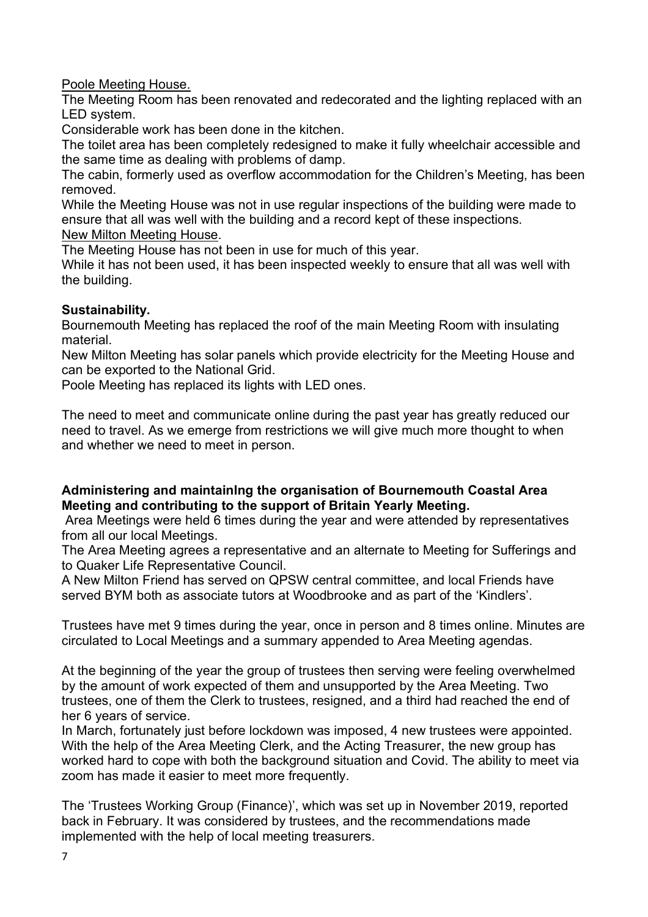Poole Meeting House.

The Meeting Room has been renovated and redecorated and the lighting replaced with an LED system.

Considerable work has been done in the kitchen.

The toilet area has been completely redesigned to make it fully wheelchair accessible and the same time as dealing with problems of damp.

The cabin, formerly used as overflow accommodation for the Children's Meeting, has been removed.

While the Meeting House was not in use regular inspections of the building were made to ensure that all was well with the building and a record kept of these inspections.

New Milton Meeting House.

The Meeting House has not been in use for much of this year.

While it has not been used, it has been inspected weekly to ensure that all was well with the building.

## **Sustainability.**

Bournemouth Meeting has replaced the roof of the main Meeting Room with insulating material.

New Milton Meeting has solar panels which provide electricity for the Meeting House and can be exported to the National Grid.

Poole Meeting has replaced its lights with LED ones.

The need to meet and communicate online during the past year has greatly reduced our need to travel. As we emerge from restrictions we will give much more thought to when and whether we need to meet in person.

## **Administering and maintainlng the organisation of Bournemouth Coastal Area Meeting and contributing to the support of Britain Yearly Meeting.**

 Area Meetings were held 6 times during the year and were attended by representatives from all our local Meetings.

The Area Meeting agrees a representative and an alternate to Meeting for Sufferings and to Quaker Life Representative Council.

A New Milton Friend has served on QPSW central committee, and local Friends have served BYM both as associate tutors at Woodbrooke and as part of the 'Kindlers'.

Trustees have met 9 times during the year, once in person and 8 times online. Minutes are circulated to Local Meetings and a summary appended to Area Meeting agendas.

At the beginning of the year the group of trustees then serving were feeling overwhelmed by the amount of work expected of them and unsupported by the Area Meeting. Two trustees, one of them the Clerk to trustees, resigned, and a third had reached the end of her 6 years of service.

In March, fortunately just before lockdown was imposed, 4 new trustees were appointed. With the help of the Area Meeting Clerk, and the Acting Treasurer, the new group has worked hard to cope with both the background situation and Covid. The ability to meet via zoom has made it easier to meet more frequently.

The 'Trustees Working Group (Finance)', which was set up in November 2019, reported back in February. It was considered by trustees, and the recommendations made implemented with the help of local meeting treasurers.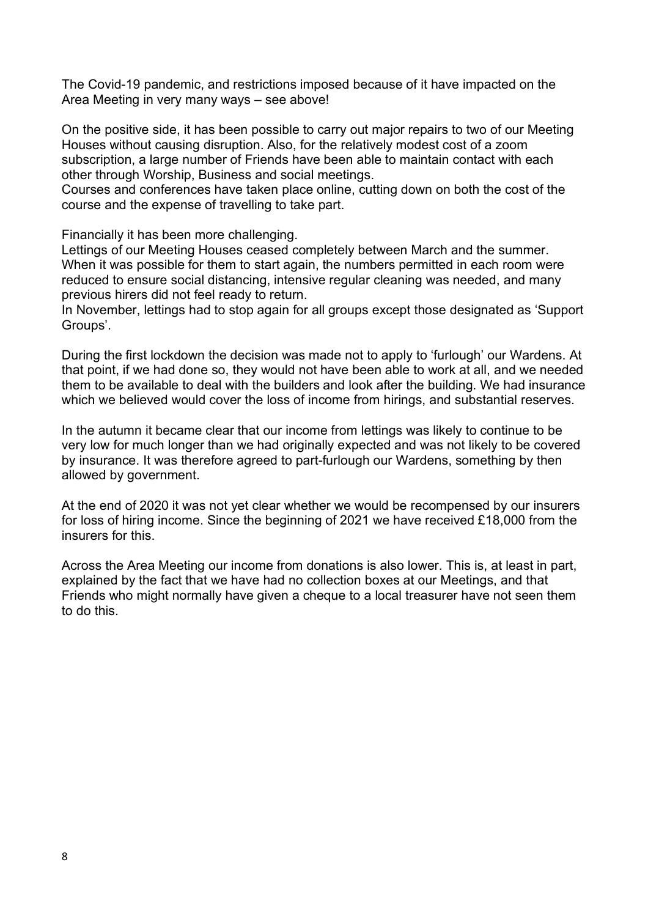The Covid-19 pandemic, and restrictions imposed because of it have impacted on the Area Meeting in very many ways – see above!

On the positive side, it has been possible to carry out major repairs to two of our Meeting Houses without causing disruption. Also, for the relatively modest cost of a zoom subscription, a large number of Friends have been able to maintain contact with each other through Worship, Business and social meetings.

Courses and conferences have taken place online, cutting down on both the cost of the course and the expense of travelling to take part.

Financially it has been more challenging.

Lettings of our Meeting Houses ceased completely between March and the summer. When it was possible for them to start again, the numbers permitted in each room were reduced to ensure social distancing, intensive regular cleaning was needed, and many previous hirers did not feel ready to return.

In November, lettings had to stop again for all groups except those designated as 'Support Groups'.

During the first lockdown the decision was made not to apply to 'furlough' our Wardens. At that point, if we had done so, they would not have been able to work at all, and we needed them to be available to deal with the builders and look after the building. We had insurance which we believed would cover the loss of income from hirings, and substantial reserves.

In the autumn it became clear that our income from lettings was likely to continue to be very low for much longer than we had originally expected and was not likely to be covered by insurance. It was therefore agreed to part-furlough our Wardens, something by then allowed by government.

At the end of 2020 it was not yet clear whether we would be recompensed by our insurers for loss of hiring income. Since the beginning of 2021 we have received £18,000 from the insurers for this.

Across the Area Meeting our income from donations is also lower. This is, at least in part, explained by the fact that we have had no collection boxes at our Meetings, and that Friends who might normally have given a cheque to a local treasurer have not seen them to do this.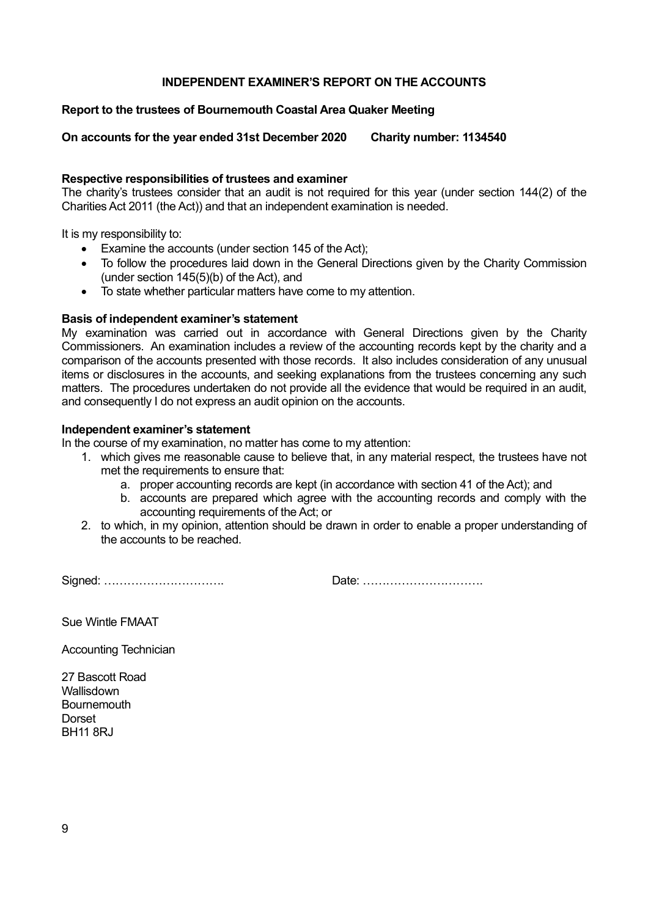#### **INDEPENDENT EXAMINER'S REPORT ON THE ACCOUNTS**

#### **Report to the trustees of Bournemouth Coastal Area Quaker Meeting**

**On accounts for the year ended 31st December 2020 Charity number: 1134540** 

#### **Respective responsibilities of trustees and examiner**

The charity's trustees consider that an audit is not required for this year (under section 144(2) of the Charities Act 2011 (the Act)) and that an independent examination is needed.

It is my responsibility to:

- Examine the accounts (under section 145 of the Act);
- To follow the procedures laid down in the General Directions given by the Charity Commission (under section 145(5)(b) of the Act), and
- To state whether particular matters have come to my attention.

#### **Basis of independent examiner's statement**

My examination was carried out in accordance with General Directions given by the Charity Commissioners. An examination includes a review of the accounting records kept by the charity and a comparison of the accounts presented with those records. It also includes consideration of any unusual items or disclosures in the accounts, and seeking explanations from the trustees concerning any such matters. The procedures undertaken do not provide all the evidence that would be required in an audit, and consequently I do not express an audit opinion on the accounts.

#### **Independent examiner's statement**

In the course of my examination, no matter has come to my attention:

- 1. which gives me reasonable cause to believe that, in any material respect, the trustees have not met the requirements to ensure that:
	- a. proper accounting records are kept (in accordance with section 41 of the Act); and
	- b. accounts are prepared which agree with the accounting records and comply with the accounting requirements of the Act; or
- 2. to which, in my opinion, attention should be drawn in order to enable a proper understanding of the accounts to be reached.

Signed: …………………………. Date: ………………………….

Sue Wintle FMAAT

Accounting Technician

27 Bascott Road **Wallisdown Bournemouth** Dorset BH11 8RJ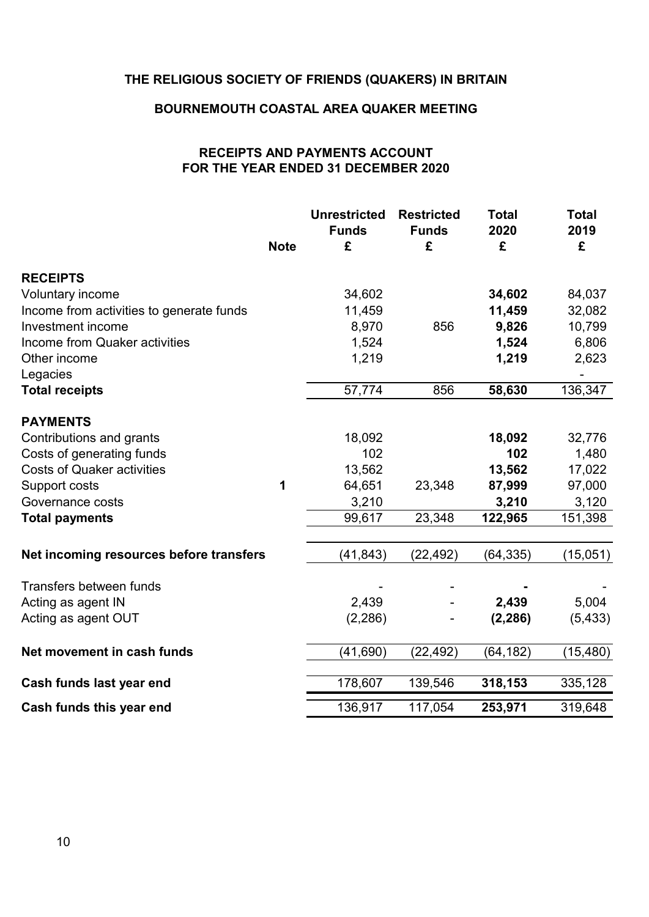# **THE RELIGIOUS SOCIETY OF FRIENDS (QUAKERS) IN BRITAIN**

#### **BOURNEMOUTH COASTAL AREA QUAKER MEETING**

## **RECEIPTS AND PAYMENTS ACCOUNT FOR THE YEAR ENDED 31 DECEMBER 2020**

|                                          | <b>Note</b> | <b>Unrestricted</b><br><b>Funds</b><br>£ | <b>Restricted</b><br><b>Funds</b><br>£ | <b>Total</b><br>2020<br>£ | <b>Total</b><br>2019<br>£ |
|------------------------------------------|-------------|------------------------------------------|----------------------------------------|---------------------------|---------------------------|
| <b>RECEIPTS</b>                          |             |                                          |                                        |                           |                           |
| Voluntary income                         |             | 34,602                                   |                                        | 34,602                    | 84,037                    |
| Income from activities to generate funds |             | 11,459                                   |                                        | 11,459                    | 32,082                    |
| Investment income                        |             | 8,970                                    | 856                                    | 9,826                     | 10,799                    |
| Income from Quaker activities            |             | 1,524                                    |                                        | 1,524                     | 6,806                     |
| Other income                             |             | 1,219                                    |                                        | 1,219                     | 2,623                     |
| Legacies                                 |             |                                          |                                        |                           |                           |
| <b>Total receipts</b>                    |             | 57,774                                   | 856                                    | 58,630                    | 136,347                   |
| <b>PAYMENTS</b>                          |             |                                          |                                        |                           |                           |
| Contributions and grants                 |             | 18,092                                   |                                        | 18,092                    | 32,776                    |
| Costs of generating funds                |             | 102                                      |                                        | 102                       | 1,480                     |
| <b>Costs of Quaker activities</b>        |             | 13,562                                   |                                        | 13,562                    | 17,022                    |
| Support costs                            | 1           | 64,651                                   | 23,348                                 | 87,999                    | 97,000                    |
| Governance costs                         |             | 3,210                                    |                                        | 3,210                     | 3,120                     |
| <b>Total payments</b>                    |             | 99,617                                   | 23,348                                 | 122,965                   | 151,398                   |
| Net incoming resources before transfers  |             | (41, 843)                                | (22, 492)                              | (64, 335)                 | (15,051)                  |
| Transfers between funds                  |             |                                          |                                        |                           |                           |
| Acting as agent IN                       |             | 2,439                                    |                                        | 2,439                     | 5,004                     |
| Acting as agent OUT                      |             | (2, 286)                                 |                                        | (2, 286)                  | (5, 433)                  |
| Net movement in cash funds               |             | (41, 690)                                | (22, 492)                              | (64, 182)                 | (15, 480)                 |
| Cash funds last year end                 |             | 178,607                                  | 139,546                                | 318,153                   | 335,128                   |
| Cash funds this year end                 |             | 136,917                                  | 117,054                                | 253,971                   | 319,648                   |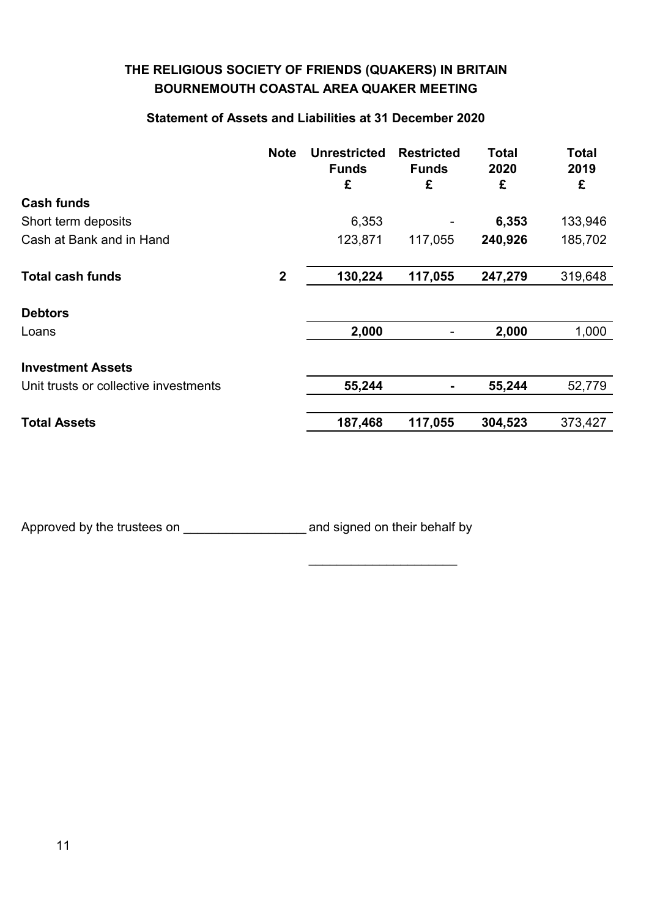# **THE RELIGIOUS SOCIETY OF FRIENDS (QUAKERS) IN BRITAIN BOURNEMOUTH COASTAL AREA QUAKER MEETING**

## **Statement of Assets and Liabilities at 31 December 2020**

|                                       | <b>Note</b>  | <b>Unrestricted</b><br><b>Funds</b><br>£ | <b>Restricted</b><br><b>Funds</b><br>£ | <b>Total</b><br>2020<br>£ | <b>Total</b><br>2019<br>£ |
|---------------------------------------|--------------|------------------------------------------|----------------------------------------|---------------------------|---------------------------|
| <b>Cash funds</b>                     |              |                                          |                                        |                           |                           |
| Short term deposits                   |              | 6,353                                    |                                        | 6,353                     | 133,946                   |
| Cash at Bank and in Hand              |              | 123,871                                  | 117,055                                | 240,926                   | 185,702                   |
| <b>Total cash funds</b>               | $\mathbf{2}$ | 130,224                                  | 117,055                                | 247,279                   | 319,648                   |
| <b>Debtors</b>                        |              |                                          |                                        |                           |                           |
| Loans                                 |              | 2,000                                    | $\overline{\phantom{a}}$               | 2,000                     | 1,000                     |
| <b>Investment Assets</b>              |              |                                          |                                        |                           |                           |
| Unit trusts or collective investments |              | 55,244                                   | $\blacksquare$                         | 55,244                    | 52,779                    |
| <b>Total Assets</b>                   |              | 187,468                                  | 117,055                                | 304,523                   | 373,427                   |

\_\_\_\_\_\_\_\_\_\_\_\_\_\_\_\_\_\_\_\_\_

Approved by the trustees on \_\_\_\_\_\_\_\_\_\_\_\_\_\_\_\_\_\_\_and signed on their behalf by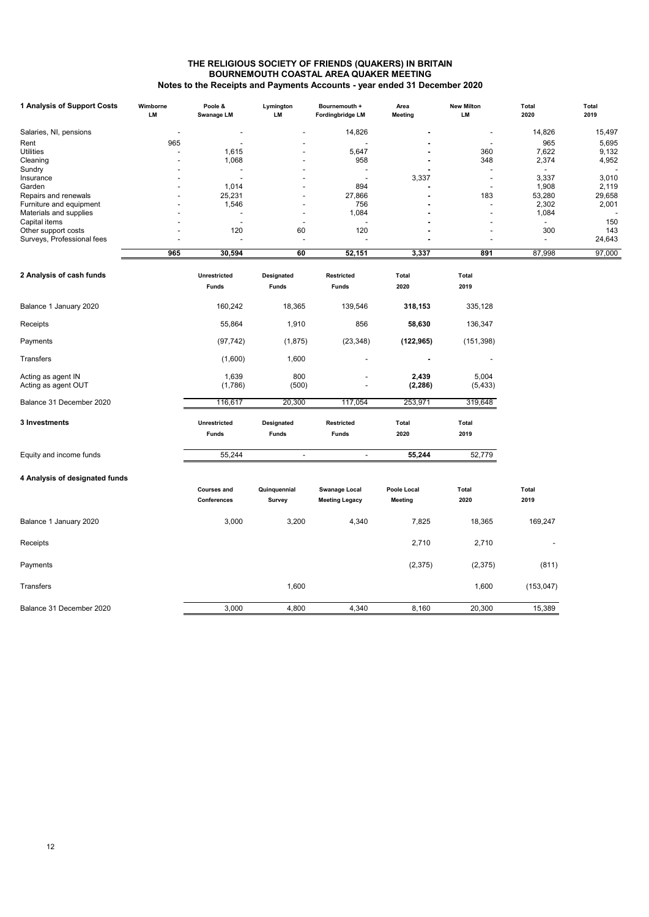#### **THE RELIGIOUS SOCIETY OF FRIENDS (QUAKERS) IN BRITAIN BOURNEMOUTH COASTAL AREA QUAKER MEETING Notes to the Receipts and Payments Accounts - year ended 31 December 2020**

| 1 Analysis of Support Costs               | Wimborne<br>LM | Poole &<br>Swanage LM    | Lymington<br>LM          | Bournemouth +<br><b>Fordingbridge LM</b> | Area<br><b>Meeting</b> | <b>New Milton</b><br>LM  | Total<br>2020  | Total<br>2019 |
|-------------------------------------------|----------------|--------------------------|--------------------------|------------------------------------------|------------------------|--------------------------|----------------|---------------|
| Salaries, NI, pensions                    |                | $\overline{\phantom{a}}$ |                          | 14,826                                   |                        | $\overline{\phantom{a}}$ | 14,826         | 15,497        |
| Rent                                      | 965            |                          |                          | ÷,                                       |                        |                          | 965            | 5,695         |
| <b>Utilities</b>                          |                | 1,615                    |                          | 5,647                                    |                        | 360                      | 7,622          | 9,132         |
| Cleaning                                  |                | 1,068                    |                          | 958                                      |                        | 348                      | 2,374          | 4,952         |
| Sundry                                    |                |                          |                          |                                          |                        |                          |                |               |
| Insurance                                 |                |                          |                          | $\overline{a}$                           | 3,337                  | $\overline{\phantom{0}}$ | 3,337          | 3,010         |
|                                           |                |                          |                          |                                          |                        |                          |                |               |
| Garden                                    |                | 1,014                    |                          | 894                                      |                        |                          | 1,908          | 2,119         |
| Repairs and renewals                      |                | 25,231                   |                          | 27,866                                   |                        | 183                      | 53,280         | 29,658        |
| Furniture and equipment                   |                | 1,546                    |                          | 756                                      |                        |                          | 2,302          | 2,001         |
| Materials and supplies                    |                |                          |                          | 1,084                                    |                        |                          | 1,084          |               |
| Capital items                             |                |                          |                          |                                          |                        |                          |                | 150           |
| Other support costs                       |                | 120                      | 60                       | 120                                      |                        |                          | 300            | 143           |
| Surveys, Professional fees                |                |                          | L,                       | Ĭ.                                       |                        |                          | $\overline{a}$ | 24,643        |
|                                           | 965            | 30,594                   | 60                       | 52,151                                   | 3,337                  | 891                      | 87,998         | 97,000        |
|                                           |                |                          |                          |                                          |                        |                          |                |               |
| 2 Analysis of cash funds                  |                | Unrestricted             | Designated               | Restricted                               | Total                  | Total                    |                |               |
|                                           |                | <b>Funds</b>             | <b>Funds</b>             | <b>Funds</b>                             | 2020                   | 2019                     |                |               |
| Balance 1 January 2020                    |                | 160,242                  | 18,365                   | 139,546                                  | 318,153                | 335,128                  |                |               |
| Receipts                                  |                | 55,864                   | 1,910                    | 856                                      | 58,630                 | 136,347                  |                |               |
| Payments                                  |                | (97, 742)                | (1,875)                  | (23, 348)                                | (122, 965)             | (151, 398)               |                |               |
| Transfers                                 |                | (1,600)                  | 1,600                    | $\overline{a}$                           |                        |                          |                |               |
| Acting as agent IN<br>Acting as agent OUT |                | 1,639<br>(1,786)         | 800<br>(500)             | Ĭ.                                       | 2,439<br>(2, 286)      | 5,004<br>(5, 433)        |                |               |
| Balance 31 December 2020                  |                | 116,617                  | 20,300                   | 117,054                                  | 253,971                | 319,648                  |                |               |
| 3 Investments                             |                | Unrestricted             | Designated               | Restricted                               | <b>Total</b>           | <b>Total</b>             |                |               |
|                                           |                | <b>Funds</b>             | <b>Funds</b>             | <b>Funds</b>                             | 2020                   | 2019                     |                |               |
| Equity and income funds                   |                | 55,244                   | $\overline{\phantom{a}}$ | $\blacksquare$                           | 55,244                 | 52,779                   |                |               |
| 4 Analysis of designated funds            |                |                          |                          |                                          |                        |                          |                |               |
|                                           |                |                          |                          |                                          |                        |                          |                |               |
|                                           |                | <b>Courses and</b>       | Quinquennial             | <b>Swanage Local</b>                     | Poole Local            | Total                    | Total          |               |
|                                           |                | Conferences              | Survey                   | <b>Meeting Legacy</b>                    | <b>Meeting</b>         | 2020                     | 2019           |               |
| Balance 1 January 2020                    |                | 3,000                    | 3,200                    | 4,340                                    | 7,825                  | 18,365                   | 169,247        |               |
| Receipts                                  |                |                          |                          |                                          | 2,710                  | 2,710                    |                |               |
| Payments                                  |                |                          |                          |                                          | (2, 375)               | (2,375)                  | (811)          |               |
| Transfers                                 |                |                          | 1,600                    |                                          |                        | 1,600                    | (153, 047)     |               |
| Balance 31 December 2020                  |                | 3,000                    | 4,800                    | 4,340                                    | 8,160                  | 20,300                   | 15,389         |               |